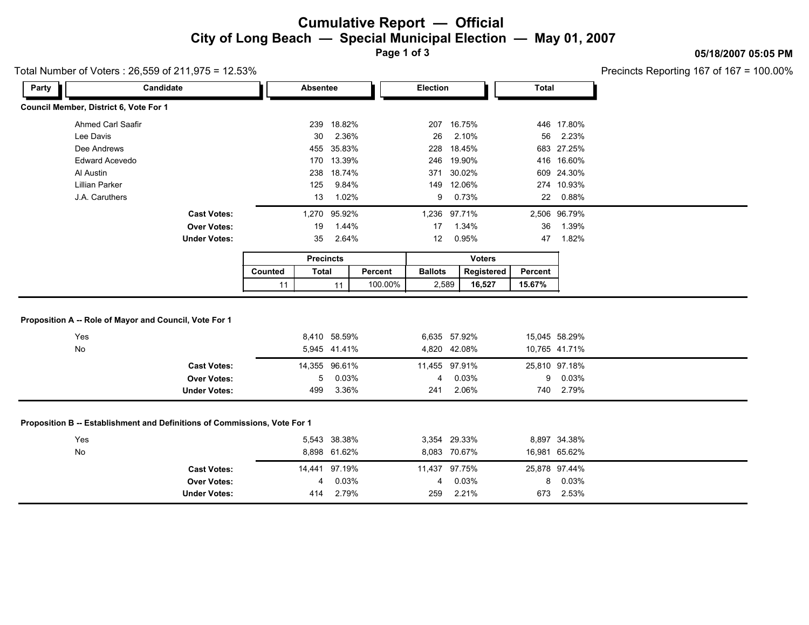### **Cumulative Report — Official City of Long Beach — Special Municipal Election — May 01, 2007**

**Page 1 of 3**

#### Total Number of Voters : 26,559 of 211,975 = 12.53%

Precincts Reporting 167 of 167 = 100.00%

**05/18/2007 05:05 PM**

| Party                                                               | Candidate                                                                                                                                    |                     | Absentee                                                                    |            | <b>Election</b>                                           |                | <b>Total</b> |                                                                      |
|---------------------------------------------------------------------|----------------------------------------------------------------------------------------------------------------------------------------------|---------------------|-----------------------------------------------------------------------------|------------|-----------------------------------------------------------|----------------|--------------|----------------------------------------------------------------------|
| Council Member, District 6, Vote For 1                              |                                                                                                                                              |                     |                                                                             |            |                                                           |                |              |                                                                      |
|                                                                     | <b>Ahmed Carl Saafir</b>                                                                                                                     |                     | 239 18.82%                                                                  |            | 207                                                       | 16.75%         |              | 446 17.80%                                                           |
| Lee Davis                                                           |                                                                                                                                              |                     | 30<br>2.36%                                                                 |            | 26                                                        | 2.10%          | 56           | 2.23%                                                                |
| Dee Andrews                                                         |                                                                                                                                              |                     | 455 35.83%                                                                  |            | 228                                                       | 18.45%         |              | 683 27.25%                                                           |
| Edward Acevedo                                                      |                                                                                                                                              |                     | 170 13.39%                                                                  |            | 246<br>19.90%                                             |                |              | 416 16.60%                                                           |
| Al Austin                                                           |                                                                                                                                              | 238 18.74%          |                                                                             | 371 30.02% |                                                           |                | 609 24.30%   |                                                                      |
| <b>Lillian Parker</b>                                               |                                                                                                                                              | 125<br>9.84%<br>149 |                                                                             | 12.06%     |                                                           | 274 10.93%     |              |                                                                      |
| J.A. Caruthers                                                      |                                                                                                                                              | 13<br>1.02%         |                                                                             |            | 9                                                         | 0.73%          |              | 22<br>0.88%                                                          |
|                                                                     | <b>Cast Votes:</b>                                                                                                                           |                     | 95.92%<br>1,270                                                             |            |                                                           | 1,236 97.71%   |              | 2,506 96.79%                                                         |
|                                                                     | <b>Over Votes:</b>                                                                                                                           | 1.44%<br>19         |                                                                             |            | 1.34%<br>17                                               |                | 36<br>1.39%  |                                                                      |
|                                                                     | <b>Under Votes:</b>                                                                                                                          | 2.64%<br>35         |                                                                             |            | 12                                                        | 0.95%          | 47           | 1.82%                                                                |
|                                                                     |                                                                                                                                              | <b>Precincts</b>    |                                                                             |            | <b>Voters</b>                                             |                |              |                                                                      |
|                                                                     |                                                                                                                                              |                     | <b>Total</b>                                                                | Percent    | <b>Ballots</b>                                            | Registered     | Percent      |                                                                      |
|                                                                     |                                                                                                                                              | Counted             |                                                                             |            |                                                           |                |              |                                                                      |
|                                                                     |                                                                                                                                              | 11                  | 11                                                                          | 100.00%    | 2,589                                                     | 16,527         | 15.67%       |                                                                      |
| Yes<br>No                                                           |                                                                                                                                              |                     | 8,410 58.59%<br>5,945 41.41%                                                |            | 6,635 57.92%<br>4,820 42.08%                              |                |              | 15,045 58.29%<br>10,765 41.71%                                       |
|                                                                     |                                                                                                                                              |                     |                                                                             |            |                                                           |                |              |                                                                      |
|                                                                     | <b>Cast Votes:</b><br><b>Over Votes:</b>                                                                                                     |                     | 14,355 96.61%<br>5                                                          |            | 11,455 97.91%<br>4                                        |                | 9            | 25,810 97.18%                                                        |
|                                                                     | <b>Under Votes:</b>                                                                                                                          | 499                 | 0.03%<br>3.36%                                                              |            | 241                                                       | 0.03%<br>2.06% | 740          | 0.03%<br>2.79%                                                       |
| Proposition A -- Role of Mayor and Council, Vote For 1<br>Yes<br>No | Proposition B -- Establishment and Definitions of Commissions, Vote For 1<br><b>Cast Votes:</b><br><b>Over Votes:</b><br><b>Under Votes:</b> |                     | 5,543 38.38%<br>8,898 61.62%<br>14,441 97.19%<br>0.03%<br>4<br>2.79%<br>414 |            | 3,354 29.33%<br>8,083 70.67%<br>11,437 97.75%<br>4<br>259 | 0.03%<br>2.21% | 8            | 8,897 34.38%<br>16,981 65.62%<br>25,878 97.44%<br>0.03%<br>673 2.53% |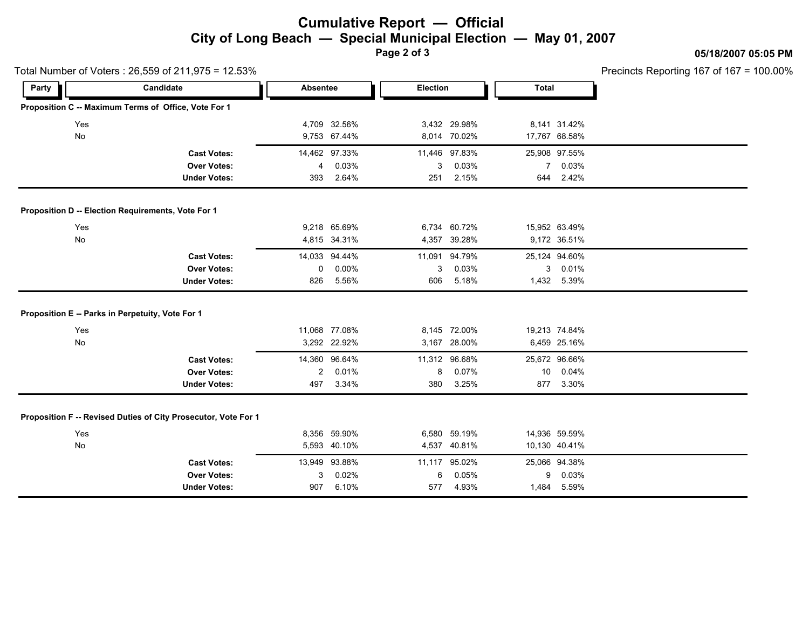## **Cumulative Report — Official City of Long Beach — Special Municipal Election — May 01, 2007**

**Page 2 of 3**

#### **05/18/2007 05:05 PM**

Precincts Reporting 167 of 167 = 100.00%

|                                                    | Total Number of Voters: 26,559 of 211,975 = 12.53%             |                |               |     |                 |             |               | Precincts Reporting 167 of 167 = |  |  |
|----------------------------------------------------|----------------------------------------------------------------|----------------|---------------|-----|-----------------|-------------|---------------|----------------------------------|--|--|
| Party                                              | Candidate                                                      |                |               |     | <b>Election</b> |             | <b>Total</b>  |                                  |  |  |
|                                                    | Proposition C -- Maximum Terms of Office, Vote For 1           |                |               |     |                 |             |               |                                  |  |  |
| Yes                                                |                                                                |                | 4,709 32.56%  |     | 3,432 29.98%    |             | 8,141 31.42%  |                                  |  |  |
| <b>No</b>                                          |                                                                |                | 9,753 67.44%  |     | 8,014 70.02%    |             | 17,767 68.58% |                                  |  |  |
|                                                    | <b>Cast Votes:</b>                                             |                | 14,462 97.33% |     | 11,446 97.83%   |             | 25,908 97.55% |                                  |  |  |
|                                                    | <b>Over Votes:</b>                                             | $\overline{4}$ | 0.03%         | 3   | 0.03%           | $7^{\circ}$ | 0.03%         |                                  |  |  |
|                                                    | <b>Under Votes:</b>                                            | 393            | 2.64%         | 251 | 2.15%           | 644         | 2.42%         |                                  |  |  |
| Proposition D -- Election Requirements, Vote For 1 |                                                                |                |               |     |                 |             |               |                                  |  |  |
| Yes                                                |                                                                |                | 9,218 65.69%  |     | 6,734 60.72%    |             | 15,952 63.49% |                                  |  |  |
| No                                                 |                                                                |                | 4,815 34.31%  |     | 4,357 39.28%    |             | 9,172 36.51%  |                                  |  |  |
|                                                    | <b>Cast Votes:</b>                                             |                | 14,033 94.44% |     | 11,091 94.79%   |             | 25,124 94.60% |                                  |  |  |
|                                                    | <b>Over Votes:</b>                                             | 0              | 0.00%         | 3   | 0.03%           | 3           | 0.01%         |                                  |  |  |
|                                                    | <b>Under Votes:</b>                                            | 826            | 5.56%         | 606 | 5.18%           |             | 1,432 5.39%   |                                  |  |  |
| Proposition E -- Parks in Perpetuity, Vote For 1   |                                                                |                |               |     |                 |             |               |                                  |  |  |
| Yes                                                |                                                                |                | 11,068 77.08% |     | 8,145 72.00%    |             | 19,213 74.84% |                                  |  |  |
| No                                                 |                                                                |                | 3,292 22.92%  |     | 3,167 28.00%    |             | 6,459 25.16%  |                                  |  |  |
|                                                    | <b>Cast Votes:</b>                                             |                | 14,360 96.64% |     | 11,312 96.68%   |             | 25,672 96.66% |                                  |  |  |
|                                                    | <b>Over Votes:</b>                                             | $\overline{2}$ | 0.01%         | 8   | 0.07%           |             | 10 0.04%      |                                  |  |  |
|                                                    | <b>Under Votes:</b>                                            | 497            | 3.34%         | 380 | 3.25%           |             | 877 3.30%     |                                  |  |  |
|                                                    | Proposition F -- Revised Duties of City Prosecutor, Vote For 1 |                |               |     |                 |             |               |                                  |  |  |
| Yes                                                |                                                                |                | 8,356 59.90%  |     | 6,580 59.19%    |             | 14,936 59.59% |                                  |  |  |
| No                                                 |                                                                |                | 5,593 40.10%  |     | 4,537 40.81%    |             | 10,130 40.41% |                                  |  |  |
|                                                    | <b>Cast Votes:</b>                                             |                | 13,949 93.88% |     | 11,117 95.02%   |             | 25,066 94.38% |                                  |  |  |
|                                                    | <b>Over Votes:</b>                                             | 3              | 0.02%         | 6   | 0.05%           | 9           | 0.03%         |                                  |  |  |
|                                                    | <b>Under Votes:</b>                                            | 907            | 6.10%         | 577 | 4.93%           | 1,484       | 5.59%         |                                  |  |  |